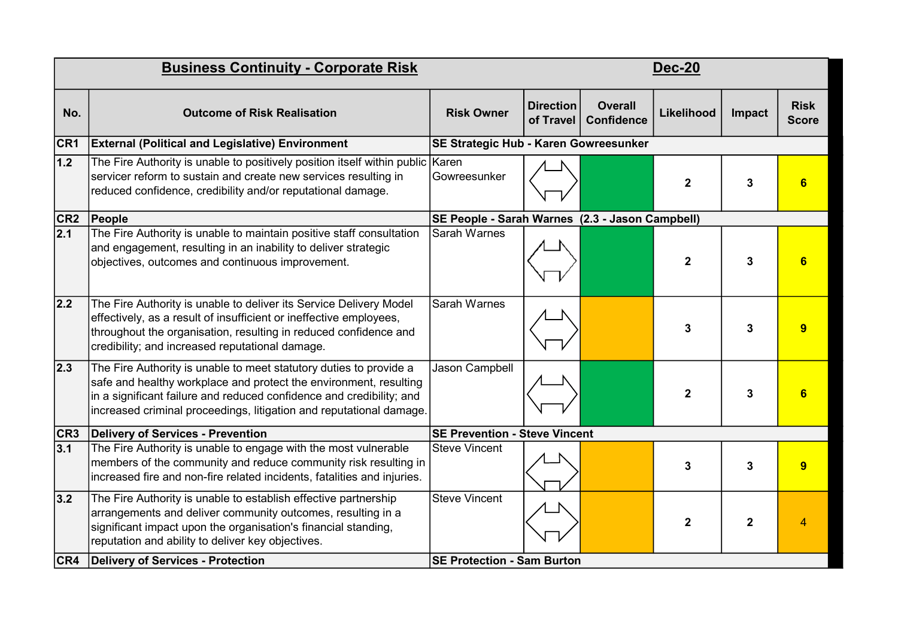| <b>Business Continuity - Corporate Risk</b> |                                                                                                                                                                                                                                                                                        |                                                 | <b>Dec-20</b>                 |                                     |                |             |                             |  |
|---------------------------------------------|----------------------------------------------------------------------------------------------------------------------------------------------------------------------------------------------------------------------------------------------------------------------------------------|-------------------------------------------------|-------------------------------|-------------------------------------|----------------|-------------|-----------------------------|--|
| No.                                         | <b>Outcome of Risk Realisation</b>                                                                                                                                                                                                                                                     | <b>Risk Owner</b>                               | <b>Direction</b><br>of Travel | <b>Overall</b><br><b>Confidence</b> | Likelihood     | Impact      | <b>Risk</b><br><b>Score</b> |  |
| CR <sub>1</sub>                             | <b>External (Political and Legislative) Environment</b>                                                                                                                                                                                                                                | SE Strategic Hub - Karen Gowreesunker           |                               |                                     |                |             |                             |  |
| 1.2                                         | The Fire Authority is unable to positively position itself within public Karen<br>servicer reform to sustain and create new services resulting in<br>reduced confidence, credibility and/or reputational damage.                                                                       | Gowreesunker                                    |                               |                                     | $\mathbf{2}$   | 3           | 6                           |  |
| CR <sub>2</sub>                             | People                                                                                                                                                                                                                                                                                 | SE People - Sarah Warnes (2.3 - Jason Campbell) |                               |                                     |                |             |                             |  |
| $ 2.1\rangle$                               | The Fire Authority is unable to maintain positive staff consultation<br>and engagement, resulting in an inability to deliver strategic<br>objectives, outcomes and continuous improvement.                                                                                             | Sarah Warnes                                    |                               |                                     | $\overline{2}$ | 3           | 6                           |  |
| 2.2                                         | The Fire Authority is unable to deliver its Service Delivery Model<br>effectively, as a result of insufficient or ineffective employees,<br>throughout the organisation, resulting in reduced confidence and<br>credibility; and increased reputational damage.                        | <b>Sarah Warnes</b>                             |                               |                                     | 3              | 3           | 9                           |  |
| $ 2.3\rangle$                               | The Fire Authority is unable to meet statutory duties to provide a<br>safe and healthy workplace and protect the environment, resulting<br>in a significant failure and reduced confidence and credibility; and<br>increased criminal proceedings, litigation and reputational damage. | Jason Campbell                                  |                               |                                     | $\overline{2}$ | 3           | 6                           |  |
| CR3                                         | Delivery of Services - Prevention                                                                                                                                                                                                                                                      | <b>SE Prevention - Steve Vincent</b>            |                               |                                     |                |             |                             |  |
| 3.1                                         | The Fire Authority is unable to engage with the most vulnerable<br>members of the community and reduce community risk resulting in<br>Increased fire and non-fire related incidents, fatalities and injuries.                                                                          | <b>Steve Vincent</b>                            |                               |                                     | 3              | 3           | 9                           |  |
| $3.2$                                       | The Fire Authority is unable to establish effective partnership<br>arrangements and deliver community outcomes, resulting in a<br>significant impact upon the organisation's financial standing,<br>reputation and ability to deliver key objectives.                                  | <b>Steve Vincent</b>                            |                               |                                     | $\mathbf 2$    | $\mathbf 2$ | 4                           |  |
| CR4                                         | Delivery of Services - Protection                                                                                                                                                                                                                                                      | <b>SE Protection - Sam Burton</b>               |                               |                                     |                |             |                             |  |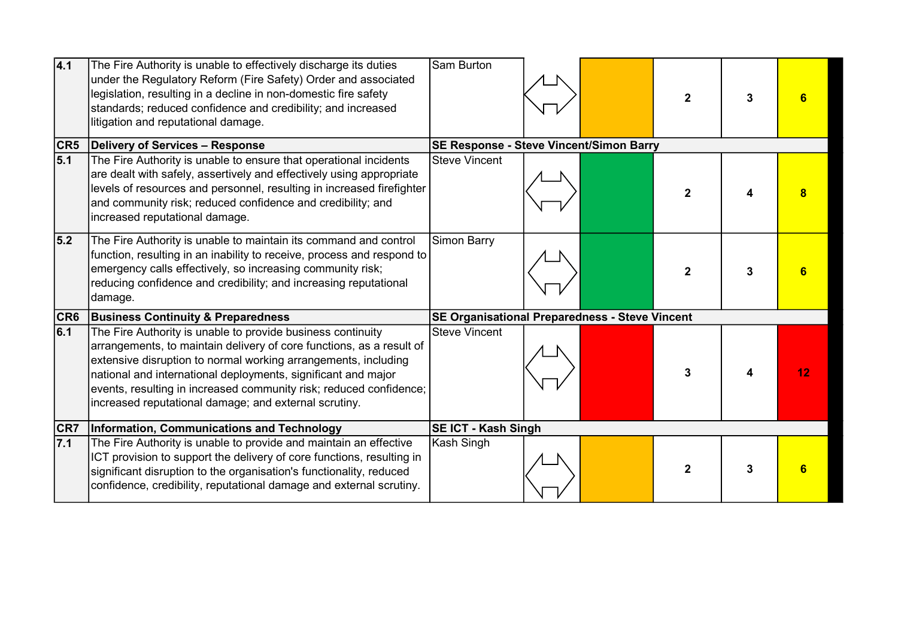| 4.1              | The Fire Authority is unable to effectively discharge its duties<br>under the Regulatory Reform (Fire Safety) Order and associated<br>legislation, resulting in a decline in non-domestic fire safety<br>standards; reduced confidence and credibility; and increased<br>litigation and reputational damage.                                                                                          | Sam Burton                                            |  |  | $\mathbf{2}$   | 3 |    |
|------------------|-------------------------------------------------------------------------------------------------------------------------------------------------------------------------------------------------------------------------------------------------------------------------------------------------------------------------------------------------------------------------------------------------------|-------------------------------------------------------|--|--|----------------|---|----|
| CR5              | Delivery of Services - Response                                                                                                                                                                                                                                                                                                                                                                       | SE Response - Steve Vincent/Simon Barry               |  |  |                |   |    |
| 5.1              | The Fire Authority is unable to ensure that operational incidents<br>are dealt with safely, assertively and effectively using appropriate<br>levels of resources and personnel, resulting in increased firefighter<br>and community risk; reduced confidence and credibility; and<br>increased reputational damage.                                                                                   | <b>Steve Vincent</b>                                  |  |  | $\overline{2}$ |   |    |
| 5.2              | The Fire Authority is unable to maintain its command and control<br>function, resulting in an inability to receive, process and respond to<br>emergency calls effectively, so increasing community risk;<br>reducing confidence and credibility; and increasing reputational<br>damage.                                                                                                               | Simon Barry                                           |  |  | $\mathbf{2}$   | 3 |    |
| CR6              | <b>Business Continuity &amp; Preparedness</b>                                                                                                                                                                                                                                                                                                                                                         | <b>SE Organisational Preparedness - Steve Vincent</b> |  |  |                |   |    |
| 6.1              | The Fire Authority is unable to provide business continuity<br>arrangements, to maintain delivery of core functions, as a result of<br>extensive disruption to normal working arrangements, including<br>national and international deployments, significant and major<br>events, resulting in increased community risk; reduced confidence;<br>increased reputational damage; and external scrutiny. | <b>Steve Vincent</b>                                  |  |  | 3              |   | 12 |
| CR7              | Information, Communications and Technology                                                                                                                                                                                                                                                                                                                                                            | <b>SE ICT - Kash Singh</b>                            |  |  |                |   |    |
| $\overline{7.1}$ | The Fire Authority is unable to provide and maintain an effective<br>ICT provision to support the delivery of core functions, resulting in<br>significant disruption to the organisation's functionality, reduced<br>confidence, credibility, reputational damage and external scrutiny.                                                                                                              | Kash Singh                                            |  |  | $\overline{2}$ | 3 | 6  |